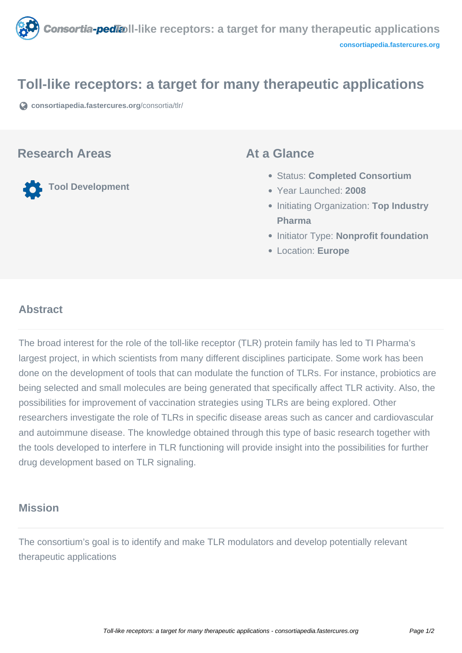

## **Toll-like receptors: a target for many therapeutic applications**

**[consortiapedia.fastercures.org](https://consortiapedia.fastercures.org/consortia/tlr/)**[/consortia/tlr/](https://consortiapedia.fastercures.org/consortia/tlr/)

### **Research Areas**

**Tool Development**

### **At a Glance**

- Status: **Completed Consortium**
- Year Launched: **2008**
- **Initiating Organization: Top Industry Pharma**
- **Initiator Type: Nonprofit foundation**
- Location: **Europe**

#### $\overline{a}$ **Abstract**

The broad interest for the role of the toll-like receptor (TLR) protein family has led to TI Pharma's largest project, in which scientists from many different disciplines participate. Some work has been done on the development of tools that can modulate the function of TLRs. For instance, probiotics are being selected and small molecules are being generated that specifically affect TLR activity. Also, the possibilities for improvement of vaccination strategies using TLRs are being explored. Other researchers investigate the role of TLRs in specific disease areas such as cancer and cardiovascular and autoimmune disease. The knowledge obtained through this type of basic research together with the tools developed to interfere in TLR functioning will provide insight into the possibilities for further drug development based on TLR signaling.

## **Mission**

The consortium's goal is to identify and make TLR modulators and develop potentially relevant therapeutic applications